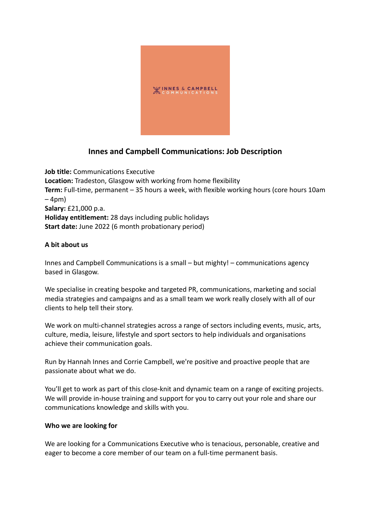

# **Innes and Campbell Communications: Job Description**

**Job title:** Communications Executive **Location:** Tradeston, Glasgow with working from home flexibility **Term:** Full-time, permanent – 35 hours a week, with flexible working hours (core hours 10am – 4pm) **Salary:** £21,000 p.a. **Holiday entitlement:** 28 days including public holidays **Start date:** June 2022 (6 month probationary period)

# **A bit about us**

Innes and Campbell Communications is a small – but mighty! – communications agency based in Glasgow.

We specialise in creating bespoke and targeted PR, communications, marketing and social media strategies and campaigns and as a small team we work really closely with all of our clients to help tell their story.

We work on multi-channel strategies across a range of sectors including events, music, arts, culture, media, leisure, lifestyle and sport sectors to help individuals and organisations achieve their communication goals.

Run by Hannah Innes and Corrie Campbell, we're positive and proactive people that are passionate about what we do.

You'll get to work as part of this close-knit and dynamic team on a range of exciting projects. We will provide in-house training and support for you to carry out your role and share our communications knowledge and skills with you.

# **Who we are looking for**

We are looking for a Communications Executive who is tenacious, personable, creative and eager to become a core member of our team on a full-time permanent basis.